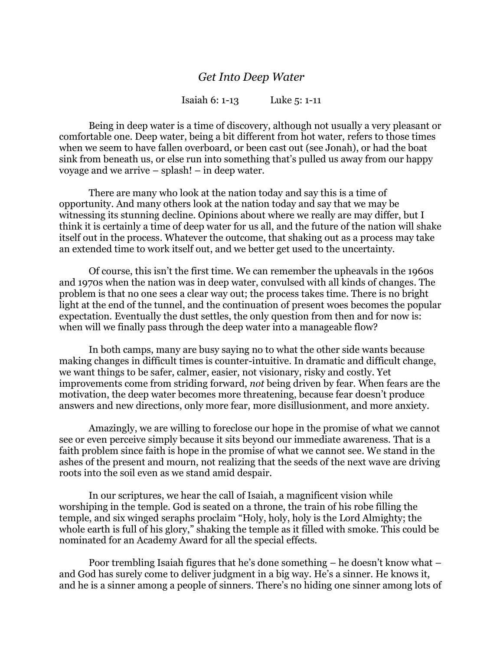## *Get Into Deep Water*

Isaiah 6: 1-13 Luke 5: 1-11

Being in deep water is a time of discovery, although not usually a very pleasant or comfortable one. Deep water, being a bit different from hot water, refers to those times when we seem to have fallen overboard, or been cast out (see Jonah), or had the boat sink from beneath us, or else run into something that's pulled us away from our happy voyage and we arrive – splash! – in deep water.

There are many who look at the nation today and say this is a time of opportunity. And many others look at the nation today and say that we may be witnessing its stunning decline. Opinions about where we really are may differ, but I think it is certainly a time of deep water for us all, and the future of the nation will shake itself out in the process. Whatever the outcome, that shaking out as a process may take an extended time to work itself out, and we better get used to the uncertainty.

Of course, this isn't the first time. We can remember the upheavals in the 1960s and 1970s when the nation was in deep water, convulsed with all kinds of changes. The problem is that no one sees a clear way out; the process takes time. There is no bright light at the end of the tunnel, and the continuation of present woes becomes the popular expectation. Eventually the dust settles, the only question from then and for now is: when will we finally pass through the deep water into a manageable flow?

In both camps, many are busy saying no to what the other side wants because making changes in difficult times is counter-intuitive. In dramatic and difficult change, we want things to be safer, calmer, easier, not visionary, risky and costly. Yet improvements come from striding forward, *not* being driven by fear. When fears are the motivation, the deep water becomes more threatening, because fear doesn't produce answers and new directions, only more fear, more disillusionment, and more anxiety.

Amazingly, we are willing to foreclose our hope in the promise of what we cannot see or even perceive simply because it sits beyond our immediate awareness. That is a faith problem since faith is hope in the promise of what we cannot see. We stand in the ashes of the present and mourn, not realizing that the seeds of the next wave are driving roots into the soil even as we stand amid despair.

In our scriptures, we hear the call of Isaiah, a magnificent vision while worshiping in the temple. God is seated on a throne, the train of his robe filling the temple, and six winged seraphs proclaim "Holy, holy, holy is the Lord Almighty; the whole earth is full of his glory," shaking the temple as it filled with smoke. This could be nominated for an Academy Award for all the special effects.

Poor trembling Isaiah figures that he's done something – he doesn't know what – and God has surely come to deliver judgment in a big way. He's a sinner. He knows it, and he is a sinner among a people of sinners. There's no hiding one sinner among lots of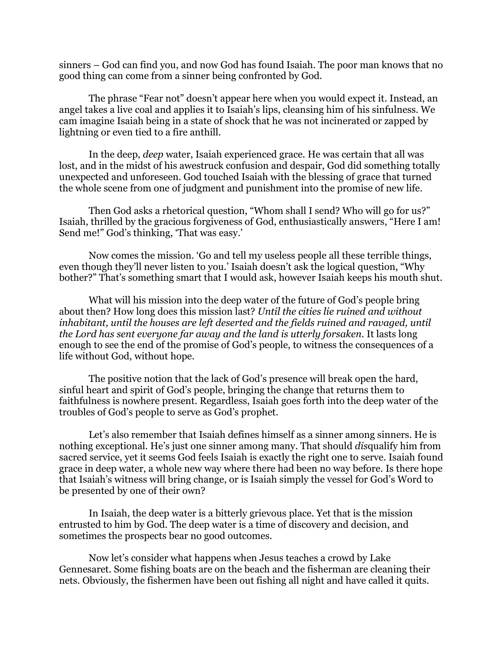sinners – God can find you, and now God has found Isaiah. The poor man knows that no good thing can come from a sinner being confronted by God.

The phrase "Fear not" doesn't appear here when you would expect it. Instead, an angel takes a live coal and applies it to Isaiah's lips, cleansing him of his sinfulness. We cam imagine Isaiah being in a state of shock that he was not incinerated or zapped by lightning or even tied to a fire anthill.

In the deep, *deep* water, Isaiah experienced grace. He was certain that all was lost, and in the midst of his awestruck confusion and despair, God did something totally unexpected and unforeseen. God touched Isaiah with the blessing of grace that turned the whole scene from one of judgment and punishment into the promise of new life.

Then God asks a rhetorical question, "Whom shall I send? Who will go for us?" Isaiah, thrilled by the gracious forgiveness of God, enthusiastically answers, "Here I am! Send me!" God's thinking, 'That was easy.'

Now comes the mission. 'Go and tell my useless people all these terrible things, even though they'll never listen to you.' Isaiah doesn't ask the logical question, "Why bother?" That's something smart that I would ask, however Isaiah keeps his mouth shut.

What will his mission into the deep water of the future of God's people bring about then? How long does this mission last? *Until the cities lie ruined and without inhabitant, until the houses are left deserted and the fields ruined and ravaged, until the Lord has sent everyone far away and the land is utterly forsaken.* It lasts long enough to see the end of the promise of God's people, to witness the consequences of a life without God, without hope.

The positive notion that the lack of God's presence will break open the hard, sinful heart and spirit of God's people, bringing the change that returns them to faithfulness is nowhere present. Regardless, Isaiah goes forth into the deep water of the troubles of God's people to serve as God's prophet.

Let's also remember that Isaiah defines himself as a sinner among sinners. He is nothing exceptional. He's just one sinner among many. That should *dis*qualify him from sacred service, yet it seems God feels Isaiah is exactly the right one to serve. Isaiah found grace in deep water, a whole new way where there had been no way before. Is there hope that Isaiah's witness will bring change, or is Isaiah simply the vessel for God's Word to be presented by one of their own?

In Isaiah, the deep water is a bitterly grievous place. Yet that is the mission entrusted to him by God. The deep water is a time of discovery and decision, and sometimes the prospects bear no good outcomes.

Now let's consider what happens when Jesus teaches a crowd by Lake Gennesaret. Some fishing boats are on the beach and the fisherman are cleaning their nets. Obviously, the fishermen have been out fishing all night and have called it quits.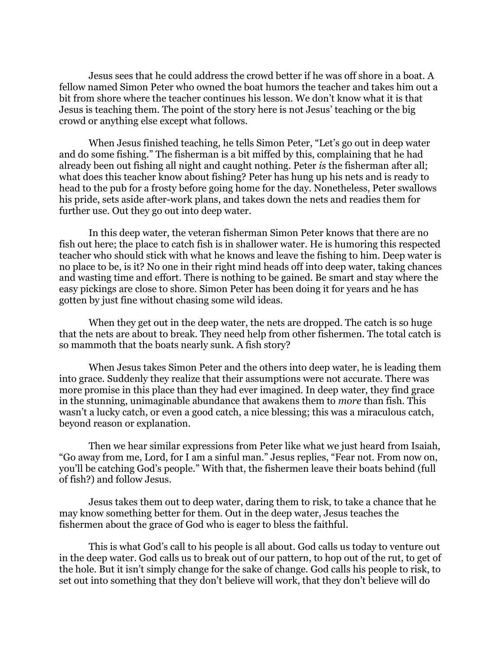Jesus sees that he could address the crowd better if he was off shore in a boat. A fellow named Simon Peter who owned the boat humors the teacher and takes him out a bit from shore where the teacher continues his lesson. We don't know what it is that Jesus is teaching them. The point of the story here is not Jesus' teaching or the big crowd or anything else except what follows.

When Jesus finished teaching, he tells Simon Peter, "Let's go out in deep water and do some fishing." The fisherman is a bit miffed by this, complaining that he had already been out fishing all night and caught nothing. Peter *is* the fisherman after all; what does this teacher know about fishing? Peter has hung up his nets and is ready to head to the pub for a frosty before going home for the day. Nonetheless, Peter swallows his pride, sets aside after-work plans, and takes down the nets and readies them for further use. Out they go out into deep water.

In this deep water, the veteran fisherman Simon Peter knows that there are no fish out here; the place to catch fish is in shallower water. He is humoring this respected teacher who should stick with what he knows and leave the fishing to him. Deep water is no place to be, is it? No one in their right mind heads off into deep water, taking chances and wasting time and effort. There is nothing to be gained. Be smart and stay where the easy pickings are close to shore. Simon Peter has been doing it for years and he has gotten by just fine without chasing some wild ideas.

When they get out in the deep water, the nets are dropped. The catch is so huge that the nets are about to break. They need help from other fishermen. The total catch is so mammoth that the boats nearly sunk. A fish story?

When Jesus takes Simon Peter and the others into deep water, he is leading them into grace. Suddenly they realize that their assumptions were not accurate. There was more promise in this place than they had ever imagined. In deep water, they find grace in the stunning, unimaginable abundance that awakens them to *more* than fish. This wasn't a lucky catch, or even a good catch, a nice blessing; this was a miraculous catch, beyond reason or explanation.

Then we hear similar expressions from Peter like what we just heard from Isaiah, "Go away from me, Lord, for I am a sinful man." Jesus replies, "Fear not. From now on, you'll be catching God's people." With that, the fishermen leave their boats behind (full of fish?) and follow Jesus.

Jesus takes them out to deep water, daring them to risk, to take a chance that he may know something better for them. Out in the deep water, Jesus teaches the fishermen about the grace of God who is eager to bless the faithful.

This is what God's call to his people is all about. God calls us today to venture out in the deep water. God calls us to break out of our pattern, to hop out of the rut, to get of the hole. But it isn't simply change for the sake of change. God calls his people to risk, to set out into something that they don't believe will work, that they don't believe will do